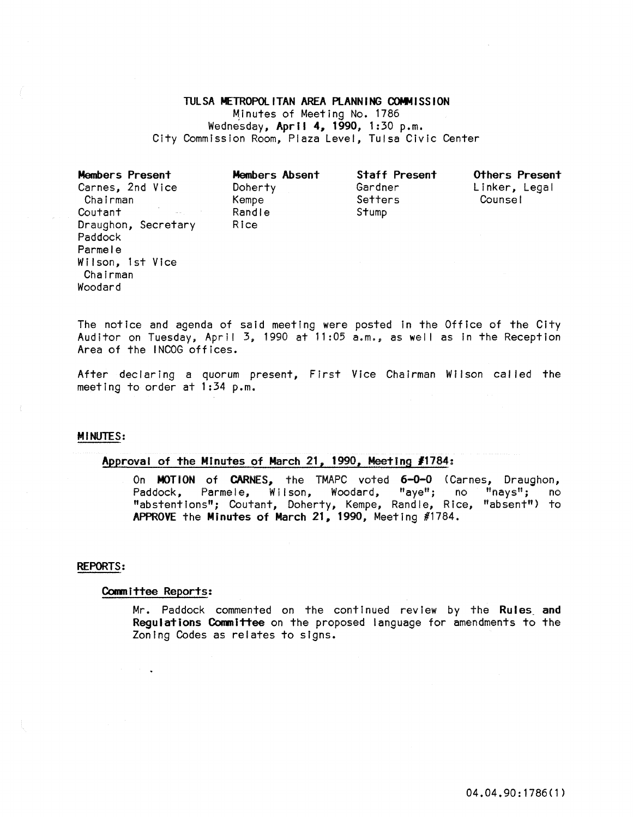#### TULSA METROPOLITAN AREA PLANNING COMMISSION

Minutes of Meeting No. 1786 Wednesday, April **4,** 1990, 1:30 p.m. City Commission Room, Plaza Level, Tulsa Civic Center

| Members Present<br>Carnes, 2nd Vice<br>Chairman | Members Absent<br>Doherty<br>Kempe | <b>Staff Present</b><br>Gardner<br>Setters | Others Present<br>Linker, Legal<br>Counsel |
|-------------------------------------------------|------------------------------------|--------------------------------------------|--------------------------------------------|
| Coutant                                         | Randle                             | Stump                                      |                                            |
| Draughon, Secretary                             | Rice                               |                                            |                                            |
| Paddock                                         |                                    |                                            |                                            |
| Parmele                                         |                                    |                                            |                                            |
| Wilson, 1st Vice                                |                                    |                                            |                                            |
| Chairman                                        |                                    |                                            |                                            |
| Woodard                                         |                                    |                                            |                                            |

The notice and agenda of said meeting were posted In the Office of the City Auditor on Tuesday, April 3, 1990 at 11:05 a.m., as well as In the Reception Area of the INCOG offices.

After declaring a quorum present, First Vice Chairman Wilson cal led the meeting to order at 1:34 p.m.

#### MINUTES:

# Approval of the Minutes of March 21, 1990, Meeting *11784:*

On MOTION of CARNES, the TMAPC voted 6-0-0 (Carnes, Draughon,<br>Paddock, Parmele, Wilson, Woodard, "aye"; no "nays"; no Parmele, Wilson, Woodard, "abstentions"; Coutant, Doherty, Kempe, Randle, Rice, "absent") to APPROVE the Minutes of March 21, 1990, Meeting #1784.

### REPORTS:

#### Committee Reports:

Mr. Paddock commented on the continued review by the Rules and Regulations Committee on the proposed language for amendments to the Zoning Codes as relates to signs.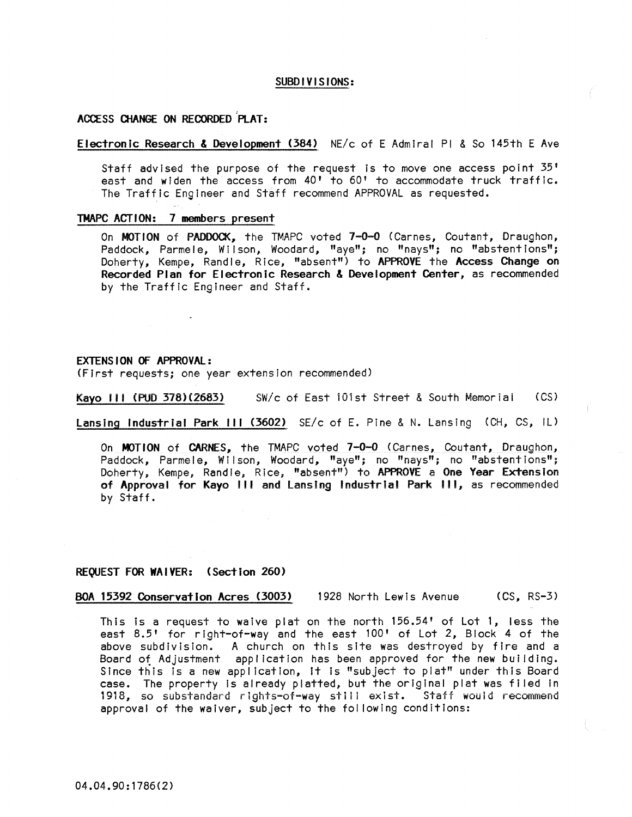# SUBDIVISIONS:

# ACCESS (}lANGE ON RECORDED 'PLAT:

# Electronic Research & Development (384) NE/c of E Admiral PI & So 145th E Ave

Staff advised the purpose of the request is to move one access point 35' east and widen the access from  $40'$  to  $60'$  to accommodate truck traffic. The Traffic Engineer and Staff recommend APPROVAL as requested.

#### TMAPC ACTION: 7 members present

On MOTION of PADDOCK, the TMAPC voted 7-0-0 (Carnes, Coutant, Draughon, Paddock, Parmele, Wilson, Woodard, "aye"; no "nays"; no "abstentions"; Doherty, Kempe, Randle, Rice, "absent") to APPROVE the Access Change on Recorded Plan for Electronic Research & Development Center, as recommended by the Traffic Engineer and Staff.

#### EXTENSION OF APPROVAL:

(First requests; one year extension recommended)

Kayo III (PUD 378)(2683) SW/c of East 101st Street & South Memorial (CS)

Lansing Industrial Park III (3602) SE/c of E. Pine & N. Lansing (CH, CS, IL)

On MOTION of CARNES, the TMAPC voted 7-0-0 (Carnes, Coutant, Draughon, Paddock, Parmele, Wilson, Woodard, "aye"; no "nays"; no "abstentions"; Doherty, Kempe, Randle, Rice, "absent") to APPROVE a One Year Extension of Approval for Kayo III and lansing Industria! Park III, as recommended by Staff.

#### REQUEST FOR **WA** I VER: (Sect ion 260)

BOA 15392 COnservation Acres (3003) 1928 North Lewis Avenue (CS, RS-3)

This is a request to waive plat on the north  $156.54'$  of Lot 1, less the east 8.5' for right-of-way and the east 100' of Lot 2, Block 4 of the above subdivision. A church on this site was destroyed by fire and a Board of Adjustment application has been approved for the new building. Since this is a new application, it is "subject to plat" under this Board case. The property Is already platted, but the original plat was filed In 1918, so substandard rights-of-way still exist. Staff would recommend approval of the waiver, subject to the fol lowing conditions: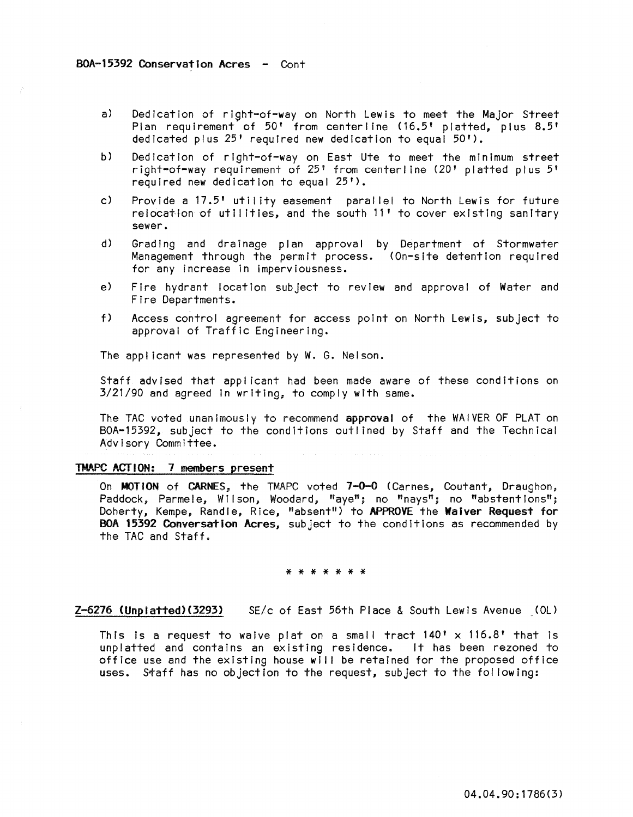- a) Dedication of right-of-way on North Lewis to meet the Major Street Plan requirement of 50' from centerline (16.5' platted, plus 8.5' dedicated plus 25' required new dedication to equal 50').
- b) Dedication of right-of-way on East Ute to meet the minimum street right-of-way requirement of 25' from centerline (20' platted plus 5' required new dedication to equal 25').
- c) Provide a 17.5' utility easement parallel to North Lewis for future relocation of utilities, and the south 11' to cover existing sanitary sewer.
- d) Grading and drainage plan approval by Department of Stormwater Management through the permit process. (On-site detention required for any increase in Imperviousness.
- e) Fire hydrant location subject to review and approval of Water and Fire Departments.
- f) Access control agreement for access point on North Lewis, subject to approval of Traffic Engineering.

The applicant was represented by W. G. Nelson.

Staff advised that applicant had been made aware of these conditions on 3/21/90 and agreed in writing, to comply with same.

The TAC voted unanimously to recommend approval of the WAIVER OF PLAT on BOA-15392, subject to the conditions outlined by Staff and the Technical Advisory Committee.

# TMAPC ACTION: 7 members present

On MOTION of CARNES, the TMAPC voted 7-0-0 (Carnes, Coutant, Draughon, Paddock, Parmele, Wilson, Woodard, "aye"; no "nays"; no "abstentions"; Doherty, Kempe, Randle, Rice, "absent") to APPROVE the Waiver Request for BOA 15392 Conversation Acres, subject to the conditions as recommended by the TAC and Staff.

### \* \* \* \* \* \* \*

Z-6216 (Unplatted)(3293) SE/c of East 56th Place & South Lewis Avenue (OL)

This is a request to waive plat on a small tract  $140' \times 116.8'$  that is unplatted and contains an existing residence. It has been rezoned to office use and the existing house will be retained for the proposed office uses. Staff has no objection to the request, subject to the fol lowing: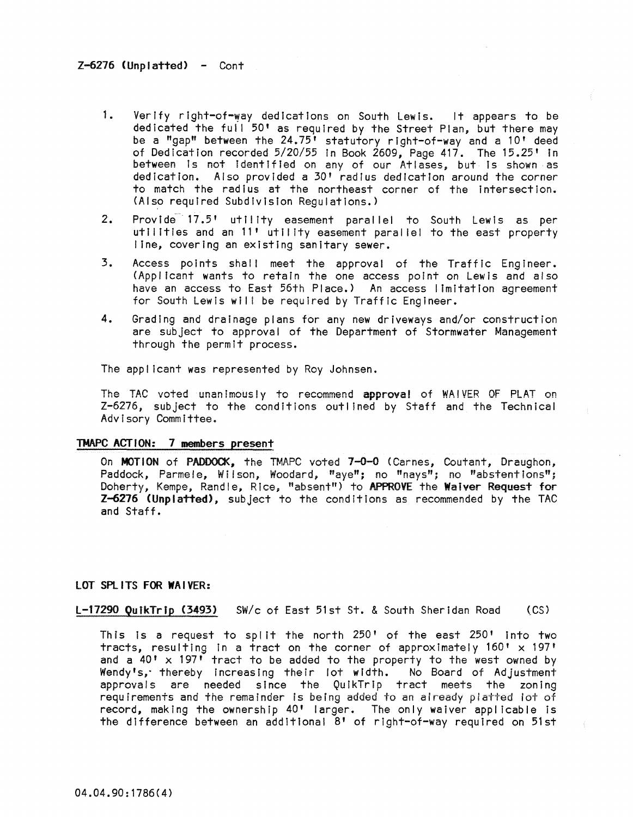- 1. Verify right-of-way dedications on South Lewis. It appears to be dedicated the full 50' as required by the Street Plan, but there may be a "gap" between the 24.75' statutory rIght-of-way and a 10' deed of Dedication recorded 5/20/55 in Book 2609, Page 417. The 15.25' In between is not identified on any of our Atlases, but is shown as dedication. Also provided a 30' radius dedication around the corner to match the radius at the northeast corner of the intersection. (Also required SubdIvision Regulations.)
- 2. Provide 17.5' utility easement parallel to South Lewis as per utilities and an 11' utility easement paral lei to the east property line, covering an existing sanitary sewer.
- 3. Access points shall meet the approval of the Traffic Engineer. (Applicant wants to retain the one access point on Lewis and also have an access to East 56th Place.) An access limitation agreement for South Lewis will be required by Traffic Engineer.
- 4. Grading and drainage plans for any new driveways and/or construction are subject to approval of the Department of Stormwater Management through the permit process.

The appl icant was represented by Roy Johnsen.

The TAC voted unanimously to recommend approval of WAIVER OF PLAT on Z-6276, subject to the conditions outlined by Staff and the Technical Advisory Committee.

# TMAPC ACTION: 7 members present

On MOTION of PADDOCK, the TMAPC voted 7-0-0 (Carnes, Coutant, Draughon, Paddock, Parmele, Wilson, Woodard, "aye"; no "nays"; no "abstentions"; Doherty, Kempe, Randle, Rice, "absent") to APPROVE the Waiver Request for Z-6216 (Unplatted), subject to the conditions as recommended by the TAC and Staff.

### LOT SPLITS FOR WAIVER:

l-11290 QutkTrtp (3493) SW/c of East 51st St. & South Sheridan Road (CS)

This is a request to split the north  $250'$  of the east  $250'$  into two tracts, resulting in a tract on the corner of approximately  $160' \times 197'$ and a  $40' \times 197'$  tract to be added to the property to the west owned by Wendy's,' thereby Increasing their lot width. No Board of Adjustment approvals are needed since the QuikTrip tract meets the zoning requirements and the remainder is being added to an already platted lot of record, making the ownership  $40'$  larger. The only waiver applicable is the difference between an additional 8' of right-of-way required on 51st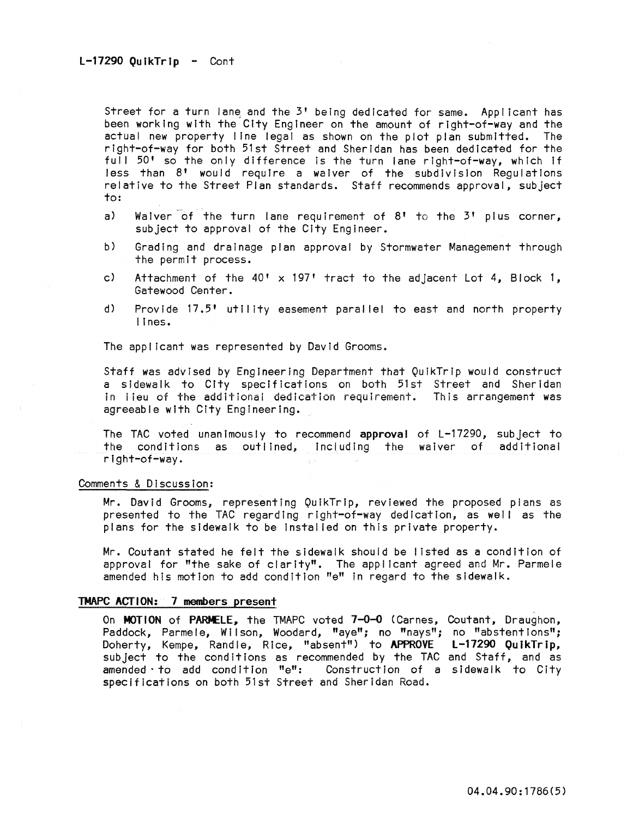Street for a turn lane and the  $3'$  being dedicated for same. Applicant has been working with the City Engineer on the amount of right-of-way and the actual new property line legal as shown on the plot plan submitted. The right-of-way for both 51st Street and Sheridan has been dedicated for the full 50' so the only difference is the turn lane right-of-way, which if Jess than 8' would require a waiver of the subdivision Regulations relative to the Street Plan standards. Staff recommends approval, subject to:

- a) Waiver of the turn lane requirement of  $8!$  to the  $3!$  plus corner, subject to approval of the City Engineer.
- b) Grading and drainage plan approval by Stormwater Management through the permit process.
- c) Attachment of the  $40' \times 197'$  tract to the adjacent Lot 4, Block 1, Gatewood Center.
- d) Provide 17.5' utility easement parallel to east and north property lines.

The applicant was represented by David Grooms.

Staff was advised by Engineering Department that QulkTrlp would construct a sidewalk to City specifications on both 51st Street and Sheridan in lieu of the add it ional dedication requirement. This arrangement was agreeable with City Engineering.

The TAC voted unanimously to recommend approval of L-17290, subject to the conditions as outlined, Including the waiver of additional right-of-way.

### Comments & Discussion:

Mr. David Grooms, representing QuikTrip, reviewed the proposed plans as presented to the TAC regarding right-of-way dedication, as well as the plans for the sidewalk to be Instal led on this private property.

Mr. Coutant stated he felt the sidewalk should be listed as a condition of approval for "the sake of clarity". The applicant agreed and Mr. Parmele amended his motion to add condition "e" In regard to the sidewalk.

### TMAPC ACTION: 7 members present

On MOTION of PARMELE, the TMAPC voted 7-0-0 (Carnes, Coutant, Draughon, Paddock, Parmele, Wilson, Woodard, "aye"; no "nays"; no "abstentions"; Doherty, Kempe, Randle, Rice, "absent") to APPROVE L-17290 QuikTrip, subject to the conditions as recommended by the TAC and Staff, and as amended' to add condition "e": Construction of a sidewalk to City specifications on both 51st Street and Sheridan Road.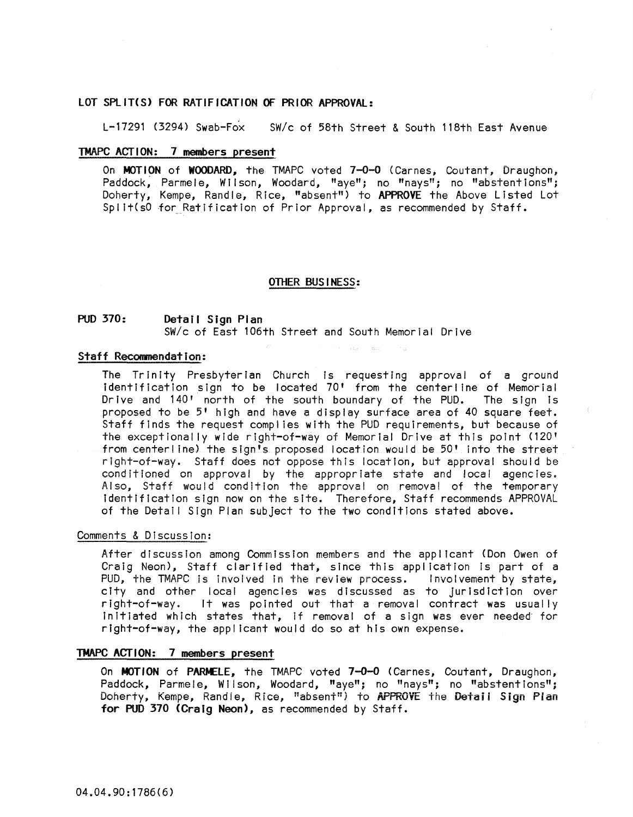# LOT SPLIT(S) FOR RATIFICATION OF PRIOR APPROVAL:

L-17291 (3294) Swab-Fox *sWlc* of 58th Street & South 118th East Avenue

# TMAPC ACTION: 7 members present

On MOTION of WOODARD, the TMAPC voted 7-0-0 (Carnes, Coutant, Draughon, Paddock, Parmele, Wilson, Woodard, "aye"; no "nays"; no "abstentions"; Doherty, Kempe, Randle, Rice, "absent") to APPROVE the Above Listed Lot Split(s0 for Ratification of Prior Approval, as recommended by Staff.

### OTHER BUS I NESS:

### PUD 370: Detail Sign Plan *SWlc* of East 106th Street and South Memorial Drive

#### Staff Recommendation:

The Trinity Presbyterian Church is requesting approval of a ground Identification sign to be located 70' from the centerline of Memorial Drive and 140' north of the south boundary of the PUD. The sign is proposed to be 5' high and have a display surface area of 40 square feet. Staff finds the request compl ies with the PUD requirements, but because of the exceptionally wide right-of-way of Memorial Drive at this point (120' from centerline) the sign's proposed location would be 50' into the street right-of-way. Staff does not oppose this location, but approval should be conditioned on approval by the appropriate state and local agencies. Also, Staff would condition the approval on removal of the temporary identification sign now on the site. Therefore, Staff recommends APPROVAL of the Detail Sign Plan subject to the two conditions stated above.

### Comments & Discussion:

After discussion among Commission members and the applicant (Don Owen of Craig Neon), Staff clarified that, since this application is part of a<br>PUD, the TMAPC is involved in the review process. Involvement by state, PUD, the TMAPC is involved in the review process. city and other local agencies was discussed as to jurisdiction over right-of-way. It was pointed out that a removal contract was usually initiated which states that, if removal of a sign was ever needed for right-of-way, the appl icant would do so at his own expense.

## TMAPC ACTION: 7 members present

On MOTION of PARMELE, the TMAPC voted 7-0-0 (Carnes, Coutant, Draughon, Paddock, Parmele, Wilson, Woodard, "aye"; no "nays"; no "abstentions"; Doherty, Kempe, Randie, Rice, "absent") to APPROVE the Detail Sign Plan for **PUD** 370 (Craig Neon), as recommended by Staff.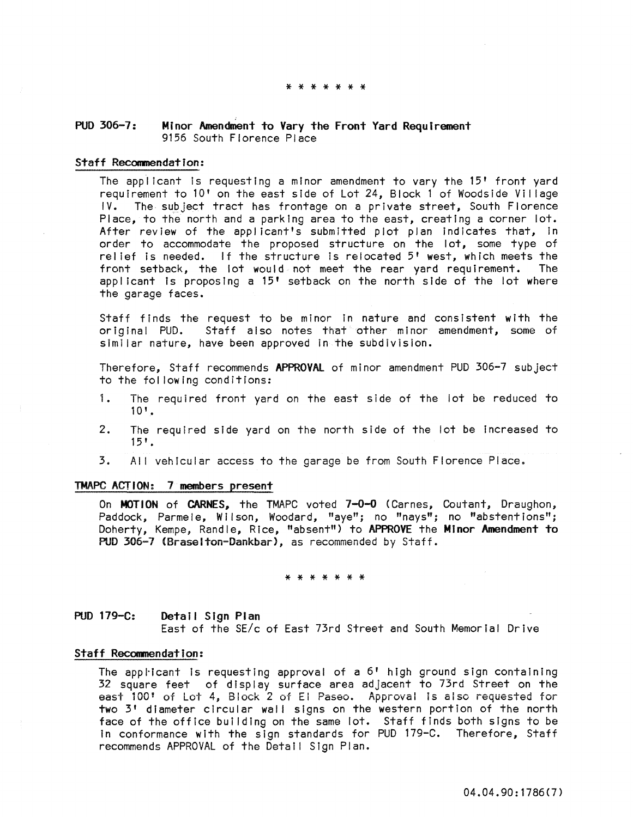#### \* \* \* \* \* \* \*

# ; PUD 306-1: Minor Amendment to Vary the Front Yard Requirement 9156 South Florence Place

### Staff Recommendation:

The applicant Is requesting a minor amendment to vary the 15' front yard requirement to 10' on the east side of Lot 24, Block 1 of Woodside Village IV. The subject tract has frontage on a private street, South Florence Place, to the north and a parking area to the east, creating a corner lot. After review of the applicant's submitted plot plan indicates that, in order to accommodate the proposed structure on the lot, some type of relief is needed. If the structure is relocated 5' west, which meets the front setback. the lot would not meet the rear vard requirement. The front setback, the lot would not meet the rear yard requirement. applicant Is proposing a 15' setback on the north side of the lot where the garage faces.

Staff finds the request to be minor in nature and consistent with the<br>original PUD. Staff also notes that other minor amendment, some of Staff also notes that other minor amendment, some of similar nature, have been approved in the subdivision.

Therefore, Staff recommends APPROVAl of minor amendment PUD 306-7 subject to the fol lowing conditions:

- 1. The required front yard on the east side of the lot be reduced to  $10'.$
- 2. The required side yard on the north side of the lot be Increased to  $15'$ .
- 3. AI! vehicular access to the garage be from South Florence Place.

# TMAPC ACTION: 7 members present

On  $MOTION$  of CARNES, the TMAPC voted  $7-0-0$  (Carnes, Coutant, Draughon, Paddock, Parmele, Wilson, Woodard, "aye"; no "nays"; no "abstentions"; Doherty, Kempe, Randle, Rice, "absent") to APPROVE the Minor Amendment to PUD 306-7 (Braselton-Dankbar), as recommended by Staff.

#### \* \* \* \* \* \* \*

PUD 179-C: Detail Sign Plan East of the SE/c of East 73rd Street and South Memorial Drive

### Staff Recommendation:

The applicant is requesting approval of a  $6'$  high ground sign containing 32 square feet of display surface area adjacent to 73rd Street on the east 100' of Lot 4, Block 2 of EI Paseo. Approval Is also requested for two 3' diameter circular wall signs on the western portion of the north face of the office building on the same lot. Staff finds both signs to be In conformance with the sign standards for PUD 179-C. Therefore, Staff recommends APPROVAL of the Detail Sign Plan.